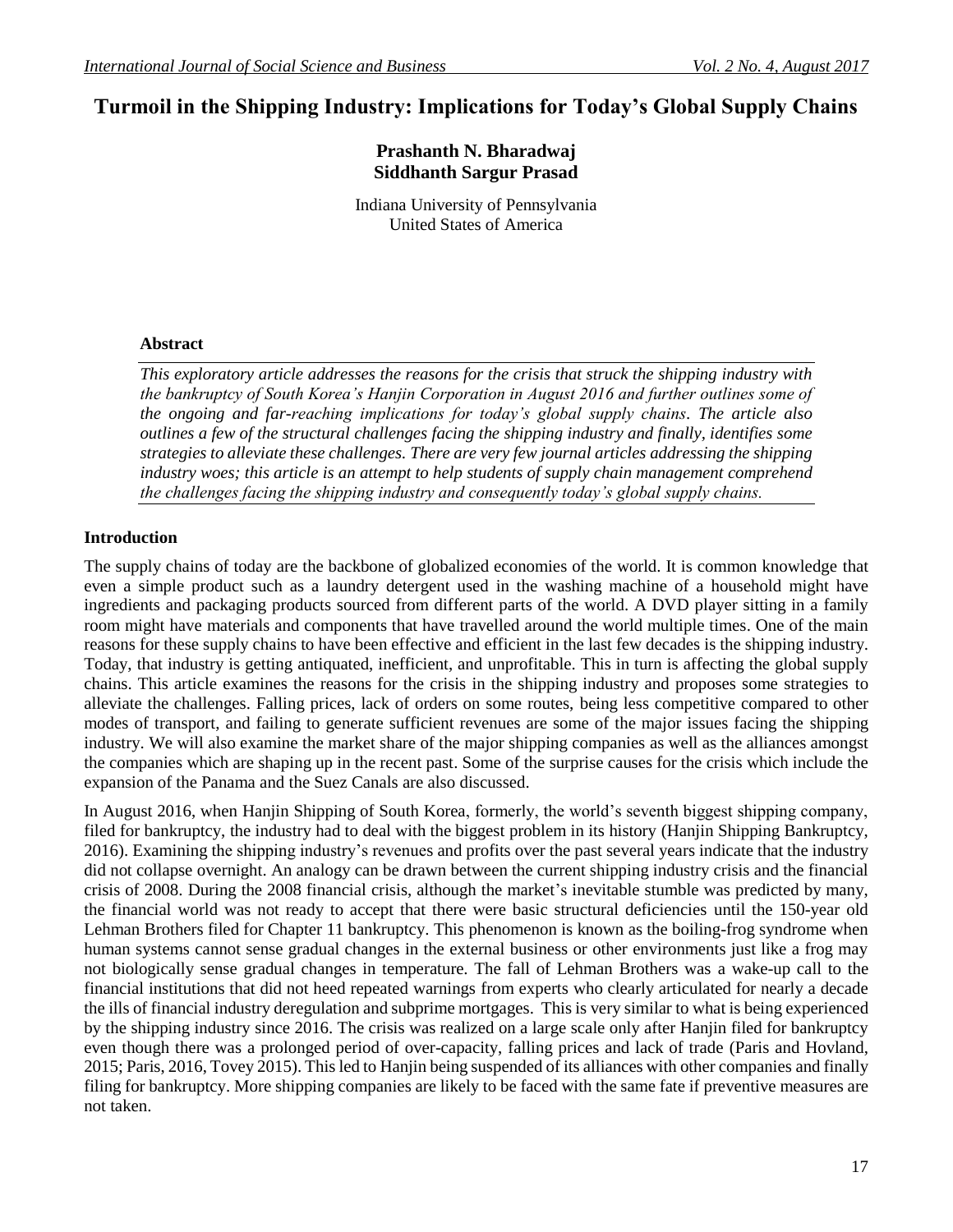# **Turmoil in the Shipping Industry: Implications for Today's Global Supply Chains**

# **Prashanth N. Bharadwaj Siddhanth Sargur Prasad**

Indiana University of Pennsylvania United States of America

# **Abstract**

*This exploratory article addresses the reasons for the crisis that struck the shipping industry with the bankruptcy of South Korea's Hanjin Corporation in August 2016 and further outlines some of the ongoing and far-reaching implications for today's global supply chains. The article also outlines a few of the structural challenges facing the shipping industry and finally, identifies some strategies to alleviate these challenges. There are very few journal articles addressing the shipping industry woes; this article is an attempt to help students of supply chain management comprehend the challenges facing the shipping industry and consequently today's global supply chains.* 

# **Introduction**

The supply chains of today are the backbone of globalized economies of the world. It is common knowledge that even a simple product such as a laundry detergent used in the washing machine of a household might have ingredients and packaging products sourced from different parts of the world. A DVD player sitting in a family room might have materials and components that have travelled around the world multiple times. One of the main reasons for these supply chains to have been effective and efficient in the last few decades is the shipping industry. Today, that industry is getting antiquated, inefficient, and unprofitable. This in turn is affecting the global supply chains. This article examines the reasons for the crisis in the shipping industry and proposes some strategies to alleviate the challenges. Falling prices, lack of orders on some routes, being less competitive compared to other modes of transport, and failing to generate sufficient revenues are some of the major issues facing the shipping industry. We will also examine the market share of the major shipping companies as well as the alliances amongst the companies which are shaping up in the recent past. Some of the surprise causes for the crisis which include the expansion of the Panama and the Suez Canals are also discussed.

In August 2016, when Hanjin Shipping of South Korea, formerly, the world's seventh biggest shipping company, filed for bankruptcy, the industry had to deal with the biggest problem in its history (Hanjin Shipping Bankruptcy, 2016). Examining the shipping industry's revenues and profits over the past several years indicate that the industry did not collapse overnight. An analogy can be drawn between the current shipping industry crisis and the financial crisis of 2008. During the 2008 financial crisis, although the market's inevitable stumble was predicted by many, the financial world was not ready to accept that there were basic structural deficiencies until the 150-year old Lehman Brothers filed for Chapter 11 bankruptcy. This phenomenon is known as the boiling-frog syndrome when human systems cannot sense gradual changes in the external business or other environments just like a frog may not biologically sense gradual changes in temperature. The fall of Lehman Brothers was a wake-up call to the financial institutions that did not heed repeated warnings from experts who clearly articulated for nearly a decade the ills of financial industry deregulation and subprime mortgages. This is very similar to what is being experienced by the shipping industry since 2016. The crisis was realized on a large scale only after Hanjin filed for bankruptcy even though there was a prolonged period of over-capacity, falling prices and lack of trade (Paris and Hovland, 2015; Paris, 2016, Tovey 2015). This led to Hanjin being suspended of its alliances with other companies and finally filing for bankruptcy. More shipping companies are likely to be faced with the same fate if preventive measures are not taken.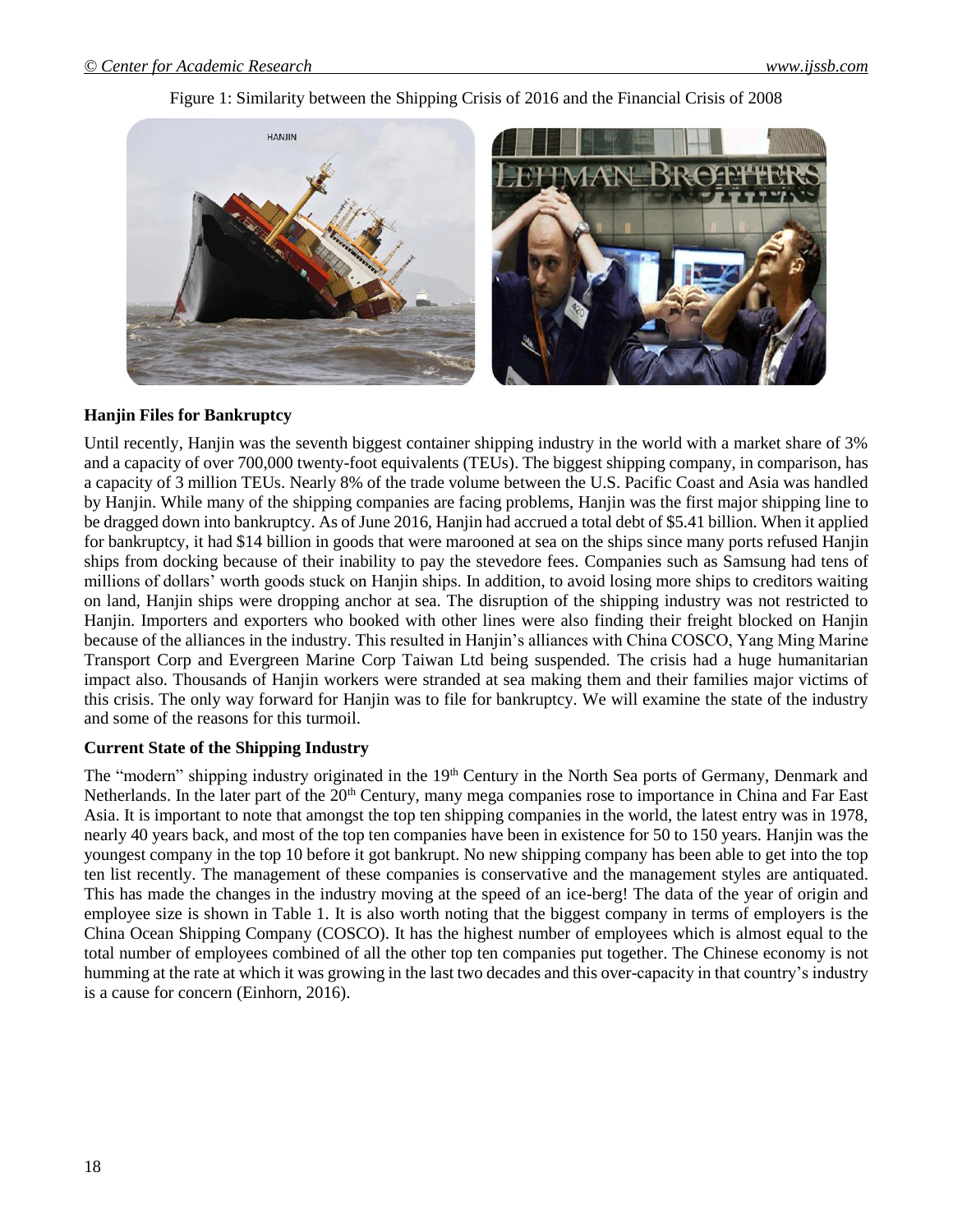# Figure 1: Similarity between the Shipping Crisis of 2016 and the Financial Crisis of 2008



# **Hanjin Files for Bankruptcy**

Until recently, Hanjin was the seventh biggest container shipping industry in the world with a market share of 3% and a capacity of over 700,000 twenty-foot equivalents (TEUs). The biggest shipping company, in comparison, has a capacity of 3 million TEUs. Nearly 8% of the trade volume between the U.S. Pacific Coast and Asia was handled by Hanjin. While many of the shipping companies are facing problems, Hanjin was the first major shipping line to be dragged down into bankruptcy. As of June 2016, Hanjin had accrued a total debt of \$5.41 billion. When it applied for bankruptcy, it had \$14 billion in goods that were marooned at sea on the ships since many ports refused Hanjin ships from docking because of their inability to pay the stevedore fees. Companies such as Samsung had tens of millions of dollars' worth goods stuck on Hanjin ships. In addition, to avoid losing more ships to creditors waiting on land, Hanjin ships were dropping anchor at sea. The disruption of the shipping industry was not restricted to Hanjin. Importers and exporters who booked with other lines were also finding their freight blocked on Hanjin because of the alliances in the industry. This resulted in Hanjin's alliances with China COSCO, Yang Ming Marine Transport Corp and Evergreen Marine Corp Taiwan Ltd being suspended. The crisis had a huge humanitarian impact also. Thousands of Hanjin workers were stranded at sea making them and their families major victims of this crisis. The only way forward for Hanjin was to file for bankruptcy. We will examine the state of the industry and some of the reasons for this turmoil.

#### **Current State of the Shipping Industry**

The "modern" shipping industry originated in the 19<sup>th</sup> Century in the North Sea ports of Germany, Denmark and Netherlands. In the later part of the 20<sup>th</sup> Century, many mega companies rose to importance in China and Far East Asia. It is important to note that amongst the top ten shipping companies in the world, the latest entry was in 1978, nearly 40 years back, and most of the top ten companies have been in existence for 50 to 150 years. Hanjin was the youngest company in the top 10 before it got bankrupt. No new shipping company has been able to get into the top ten list recently. The management of these companies is conservative and the management styles are antiquated. This has made the changes in the industry moving at the speed of an ice-berg! The data of the year of origin and employee size is shown in Table 1. It is also worth noting that the biggest company in terms of employers is the China Ocean Shipping Company (COSCO). It has the highest number of employees which is almost equal to the total number of employees combined of all the other top ten companies put together. The Chinese economy is not humming at the rate at which it was growing in the last two decades and this over-capacity in that country's industry is a cause for concern (Einhorn, 2016).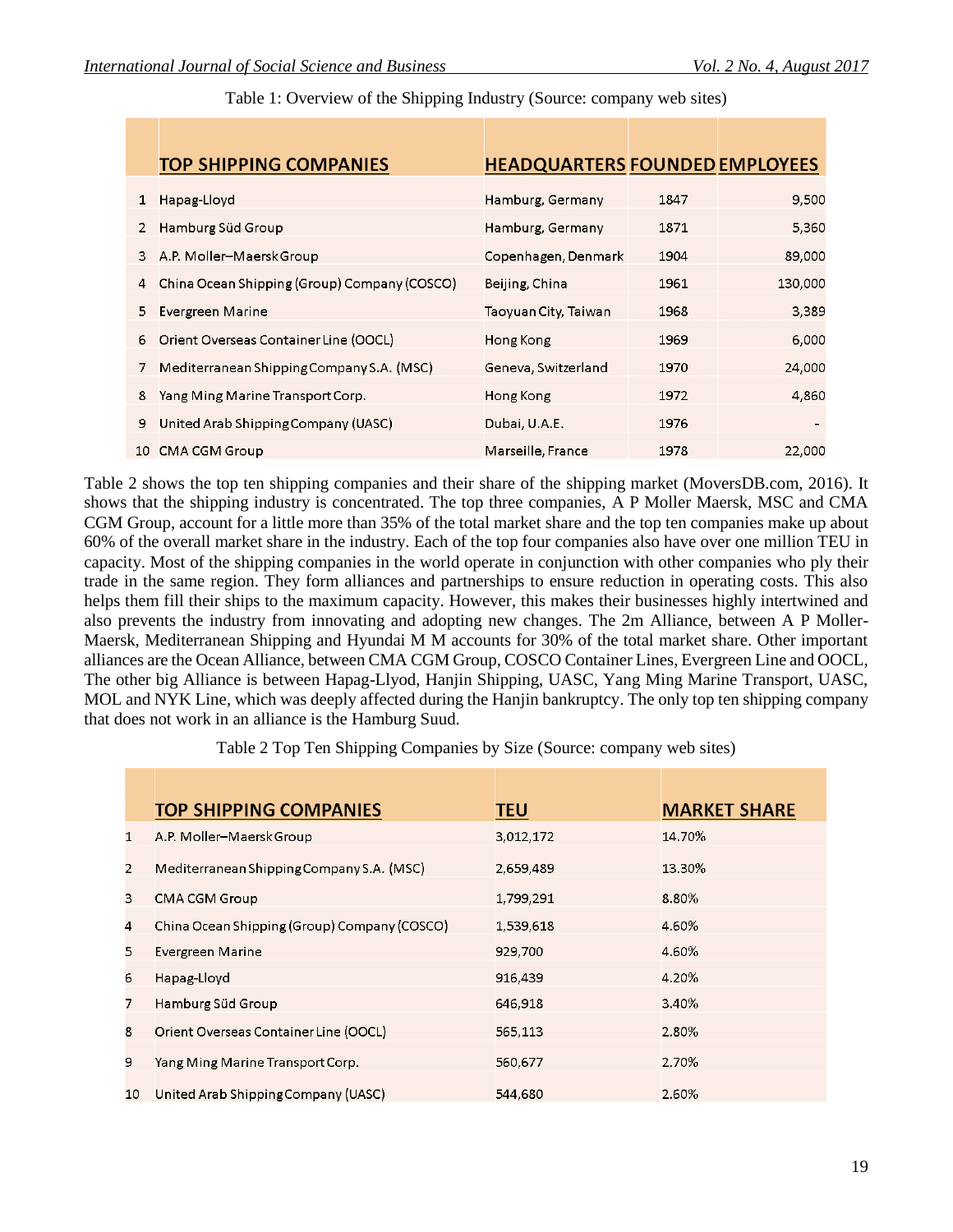|    | <b>TOP SHIPPING COMPANIES</b>                | <b>HEADQUARTERS FOUNDED EMPLOYEES</b> |      |         |
|----|----------------------------------------------|---------------------------------------|------|---------|
| 1  | Hapag-Lloyd                                  | Hamburg, Germany                      | 1847 | 9,500   |
| 2  | Hamburg Süd Group                            | Hamburg, Germany                      | 1871 | 5,360   |
| 3. | A.P. Moller–Maersk Group                     | Copenhagen, Denmark                   | 1904 | 89,000  |
| 4  | China Ocean Shipping (Group) Company (COSCO) | Beijing, China                        | 1961 | 130,000 |
| 5. | Evergreen Marine                             | Taoyuan City, Taiwan                  | 1968 | 3,389   |
| 6  | Orient Overseas Container Line (OOCL)        | Hong Kong                             | 1969 | 6,000   |
|    | Mediterranean Shipping Company S.A. (MSC)    | Geneva, Switzerland                   | 1970 | 24,000  |
| 8  | Yang Ming Marine Transport Corp.             | Hong Kong                             | 1972 | 4,860   |
| 9  | United Arab Shipping Company (UASC)          | Dubai, U.A.E.                         | 1976 |         |
| 10 | CMA CGM Group                                | Marseille, France                     | 1978 | 22,000  |

Table 1: Overview of the Shipping Industry (Source: company web sites)

Table 2 shows the top ten shipping companies and their share of the shipping market (MoversDB.com, 2016). It shows that the shipping industry is concentrated. The top three companies, A P Moller Maersk, MSC and CMA CGM Group, account for a little more than 35% of the total market share and the top ten companies make up about 60% of the overall market share in the industry. Each of the top four companies also have over one million TEU in capacity. Most of the shipping companies in the world operate in conjunction with other companies who ply their trade in the same region. They form alliances and partnerships to ensure reduction in operating costs. This also helps them fill their ships to the maximum capacity. However, this makes their businesses highly intertwined and also prevents the industry from innovating and adopting new changes. The 2m Alliance, between A P Moller-Maersk, Mediterranean Shipping and Hyundai M M accounts for 30% of the total market share. Other important alliances are the Ocean Alliance, between CMA CGM Group, COSCO Container Lines, Evergreen Line and OOCL, The other big Alliance is between Hapag-Llyod, Hanjin Shipping, UASC, Yang Ming Marine Transport, UASC, MOL and NYK Line, which was deeply affected during the Hanjin bankruptcy. The only top ten shipping company that does not work in an alliance is the Hamburg Suud.

Table 2 Top Ten Shipping Companies by Size (Source: company web sites)

|                | <b>TOP SHIPPING COMPANIES</b>                | <b>TEU</b> | <b>MARKET SHARE</b> |
|----------------|----------------------------------------------|------------|---------------------|
| $\mathbf{1}$   | A.P. Moller-Maersk Group                     | 3,012,172  | 14.70%              |
| $\overline{2}$ | Mediterranean Shipping Company S.A. (MSC)    | 2,659,489  | 13.30%              |
| 3              | <b>CMA CGM Group</b>                         | 1,799,291  | 8.80%               |
| 4              | China Ocean Shipping (Group) Company (COSCO) | 1,539,618  | 4.60%               |
| 5              | Evergreen Marine                             | 929,700    | 4.60%               |
| 6              | Hapag-Lloyd                                  | 916,439    | 4.20%               |
| 7              | Hamburg Süd Group                            | 646,918    | 3.40%               |
| 8              | Orient Overseas Container Line (OOCL)        | 565,113    | 2.80%               |
| 9              | Yang Ming Marine Transport Corp.             | 560,677    | 2.70%               |
| 10             | United Arab Shipping Company (UASC)          | 544,680    | 2.60%               |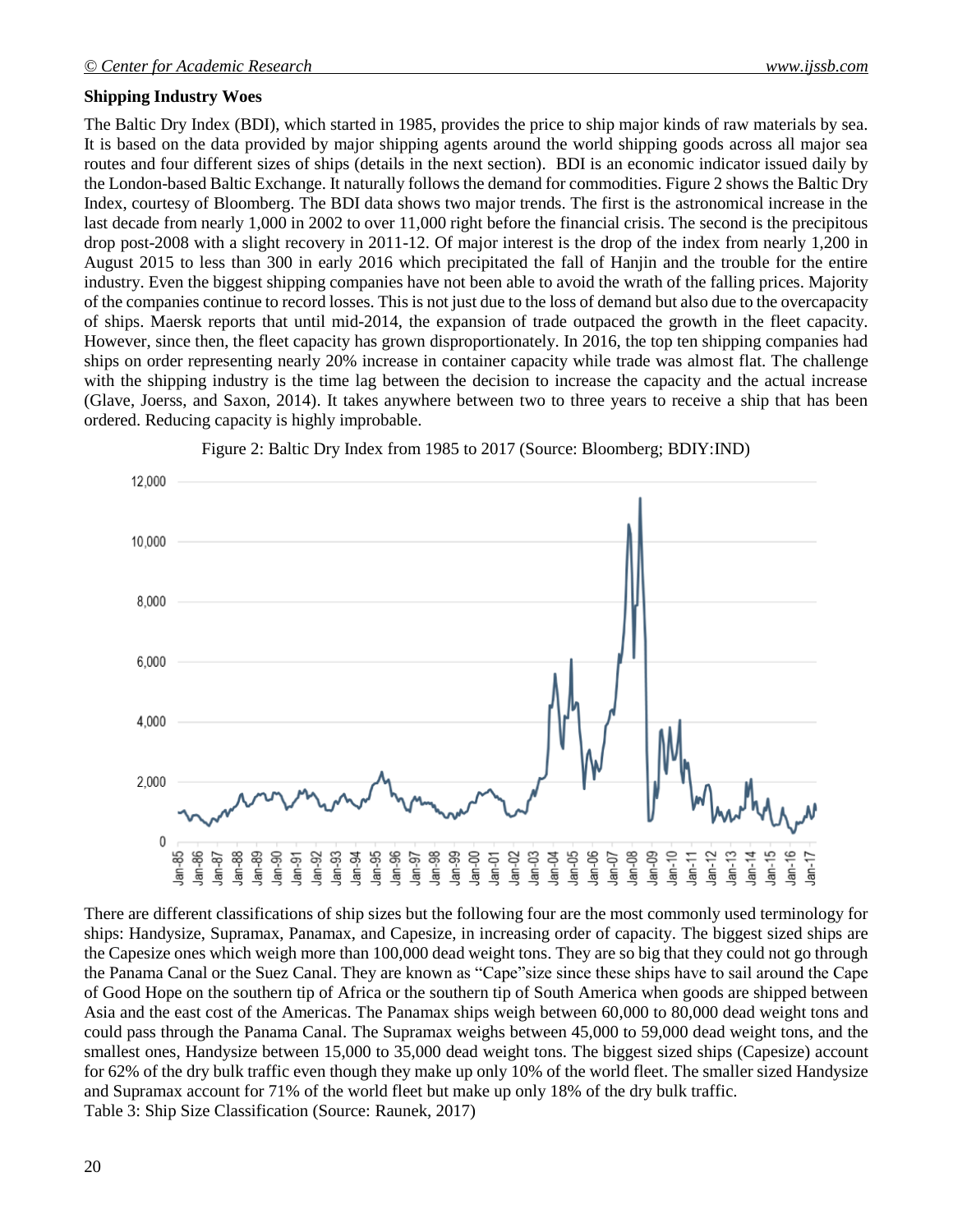# **Shipping Industry Woes**

The Baltic Dry Index (BDI), which started in 1985, provides the price to ship major kinds of raw materials by sea. It is based on the data provided by major shipping agents around the world shipping goods across all major sea routes and four different sizes of ships (details in the next section). BDI is an economic indicator issued daily by the London-based Baltic Exchange. It naturally follows the demand for commodities. Figure 2 shows the Baltic Dry Index, courtesy of Bloomberg. The BDI data shows two major trends. The first is the astronomical increase in the last decade from nearly 1,000 in 2002 to over 11,000 right before the financial crisis. The second is the precipitous drop post-2008 with a slight recovery in 2011-12. Of major interest is the drop of the index from nearly 1,200 in August 2015 to less than 300 in early 2016 which precipitated the fall of Hanjin and the trouble for the entire industry. Even the biggest shipping companies have not been able to avoid the wrath of the falling prices. Majority of the companies continue to record losses. This is not just due to the loss of demand but also due to the overcapacity of ships. Maersk reports that until mid-2014, the expansion of trade outpaced the growth in the fleet capacity. However, since then, the fleet capacity has grown disproportionately. In 2016, the top ten shipping companies had ships on order representing nearly 20% increase in container capacity while trade was almost flat. The challenge with the shipping industry is the time lag between the decision to increase the capacity and the actual increase (Glave, Joerss, and Saxon, 2014). It takes anywhere between two to three years to receive a ship that has been ordered. Reducing capacity is highly improbable.



Figure 2: Baltic Dry Index from 1985 to 2017 (Source: Bloomberg; BDIY:IND)

There are different classifications of ship sizes but the following four are the most commonly used terminology for ships: Handysize, Supramax, Panamax, and Capesize, in increasing order of capacity. The biggest sized ships are the Capesize ones which weigh more than 100,000 dead weight tons. They are so big that they could not go through the Panama Canal or the Suez Canal. They are known as "Cape"size since these ships have to sail around the Cape of Good Hope on the southern tip of Africa or the southern tip of South America when goods are shipped between Asia and the east cost of the Americas. The Panamax ships weigh between 60,000 to 80,000 dead weight tons and could pass through the Panama Canal. The Supramax weighs between 45,000 to 59,000 dead weight tons, and the smallest ones, Handysize between 15,000 to 35,000 dead weight tons. The biggest sized ships (Capesize) account for 62% of the dry bulk traffic even though they make up only 10% of the world fleet. The smaller sized Handysize and Supramax account for 71% of the world fleet but make up only 18% of the dry bulk traffic. Table 3: Ship Size Classification (Source: Raunek, 2017)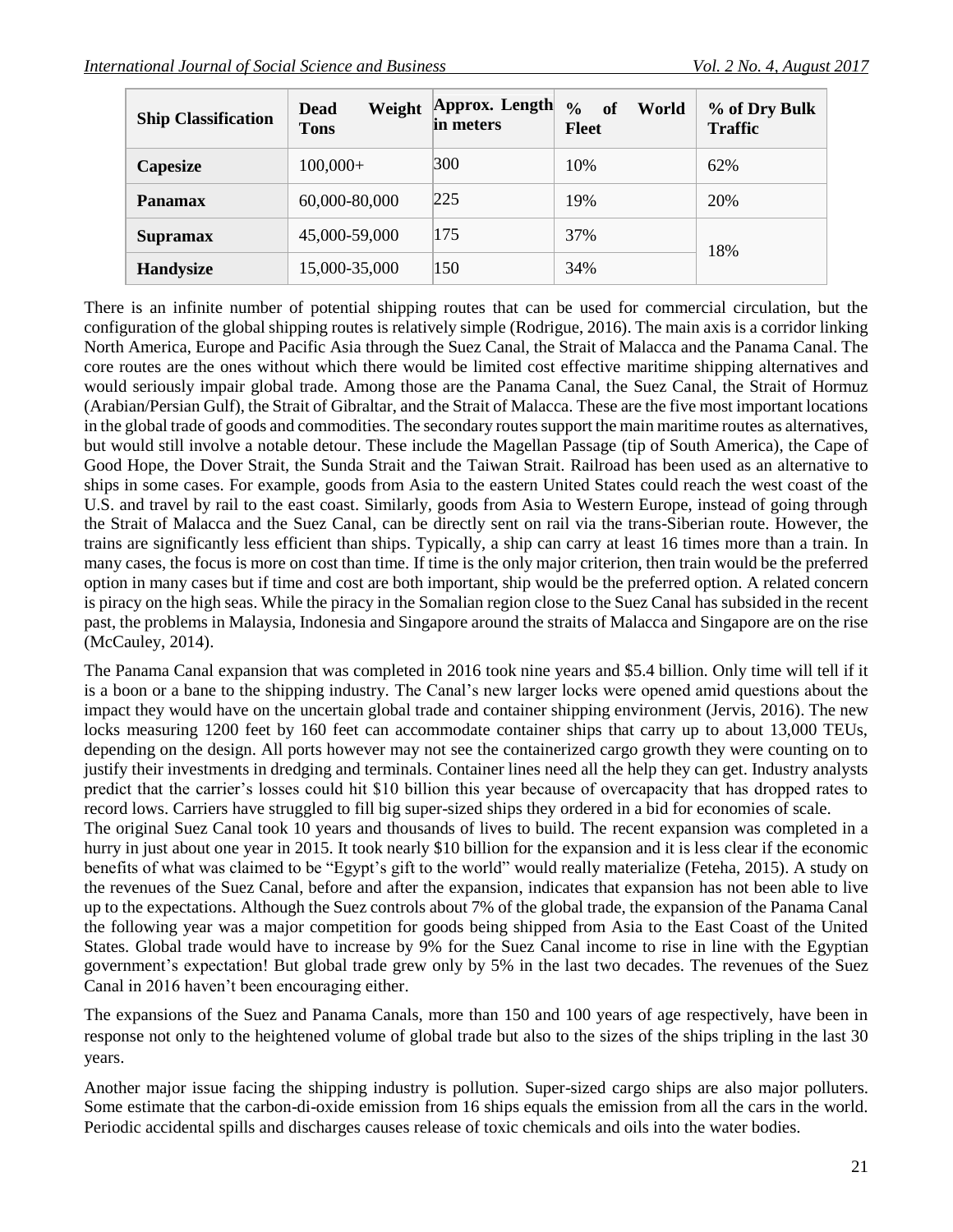| <b>Ship Classification</b> | Weight<br>Dead<br><b>Tons</b> | Approx. Length<br>in meters | $\frac{0}{0}$<br><b>of</b><br>World<br>Fleet | % of Dry Bulk<br><b>Traffic</b> |
|----------------------------|-------------------------------|-----------------------------|----------------------------------------------|---------------------------------|
| Capesize                   | $100,000+$                    | 300                         | 10%                                          | 62%                             |
| <b>Panamax</b>             | 60,000-80,000                 | 225                         | 19%                                          | 20%                             |
| <b>Supramax</b>            | 45,000-59,000                 | 175                         | 37%                                          | 18%                             |
| <b>Handysize</b>           | 15,000-35,000                 | 150                         | 34%                                          |                                 |

There is an infinite number of potential shipping routes that can be used for commercial circulation, but the configuration of the global shipping routes is relatively simple (Rodrigue, 2016). The main axis is a corridor linking North America, Europe and Pacific Asia through the Suez Canal, the Strait of Malacca and the Panama Canal. The core routes are the ones without which there would be limited cost effective maritime shipping alternatives and would seriously impair global trade. Among those are the Panama Canal, the Suez Canal, the Strait of Hormuz (Arabian/Persian Gulf), the Strait of Gibraltar, and the Strait of Malacca. These are the five most important locations in the global trade of goods and commodities. The secondary routes support the main maritime routes as alternatives, but would still involve a notable detour. These include the Magellan Passage (tip of South America), the Cape of Good Hope, the Dover Strait, the Sunda Strait and the Taiwan Strait. Railroad has been used as an alternative to ships in some cases. For example, goods from Asia to the eastern United States could reach the west coast of the U.S. and travel by rail to the east coast. Similarly, goods from Asia to Western Europe, instead of going through the Strait of Malacca and the Suez Canal, can be directly sent on rail via the trans-Siberian route. However, the trains are significantly less efficient than ships. Typically, a ship can carry at least 16 times more than a train. In many cases, the focus is more on cost than time. If time is the only major criterion, then train would be the preferred option in many cases but if time and cost are both important, ship would be the preferred option. A related concern is piracy on the high seas. While the piracy in the Somalian region close to the Suez Canal has subsided in the recent past, the problems in Malaysia, Indonesia and Singapore around the straits of Malacca and Singapore are on the rise (McCauley, 2014).

The Panama Canal expansion that was completed in 2016 took nine years and \$5.4 billion. Only time will tell if it is a boon or a bane to the shipping industry. The Canal's new larger locks were opened amid questions about the impact they would have on the uncertain global trade and container shipping environment (Jervis, 2016). The new locks measuring 1200 feet by 160 feet can accommodate container ships that carry up to about 13,000 TEUs, depending on the design. All ports however may not see the containerized cargo growth they were counting on to justify their investments in dredging and terminals. Container lines need all the help they can get. Industry analysts predict that the carrier's losses could hit \$10 billion this year because of overcapacity that has dropped rates to record lows. Carriers have struggled to fill big super-sized ships they ordered in a bid for economies of scale. The original Suez Canal took 10 years and thousands of lives to build. The recent expansion was completed in a hurry in just about one year in 2015. It took nearly \$10 billion for the expansion and it is less clear if the economic

benefits of what was claimed to be "Egypt's gift to the world" would really materialize (Feteha, 2015). A study on the revenues of the Suez Canal, before and after the expansion, indicates that expansion has not been able to live up to the expectations. Although the Suez controls about 7% of the global trade, the expansion of the Panama Canal the following year was a major competition for goods being shipped from Asia to the East Coast of the United States. Global trade would have to increase by 9% for the Suez Canal income to rise in line with the Egyptian government's expectation! But global trade grew only by 5% in the last two decades. The revenues of the Suez Canal in 2016 haven't been encouraging either.

The expansions of the Suez and Panama Canals, more than 150 and 100 years of age respectively, have been in response not only to the heightened volume of global trade but also to the sizes of the ships tripling in the last 30 years.

Another major issue facing the shipping industry is pollution. Super-sized cargo ships are also major polluters. Some estimate that the carbon-di-oxide emission from 16 ships equals the emission from all the cars in the world. Periodic accidental spills and discharges causes release of toxic chemicals and oils into the water bodies.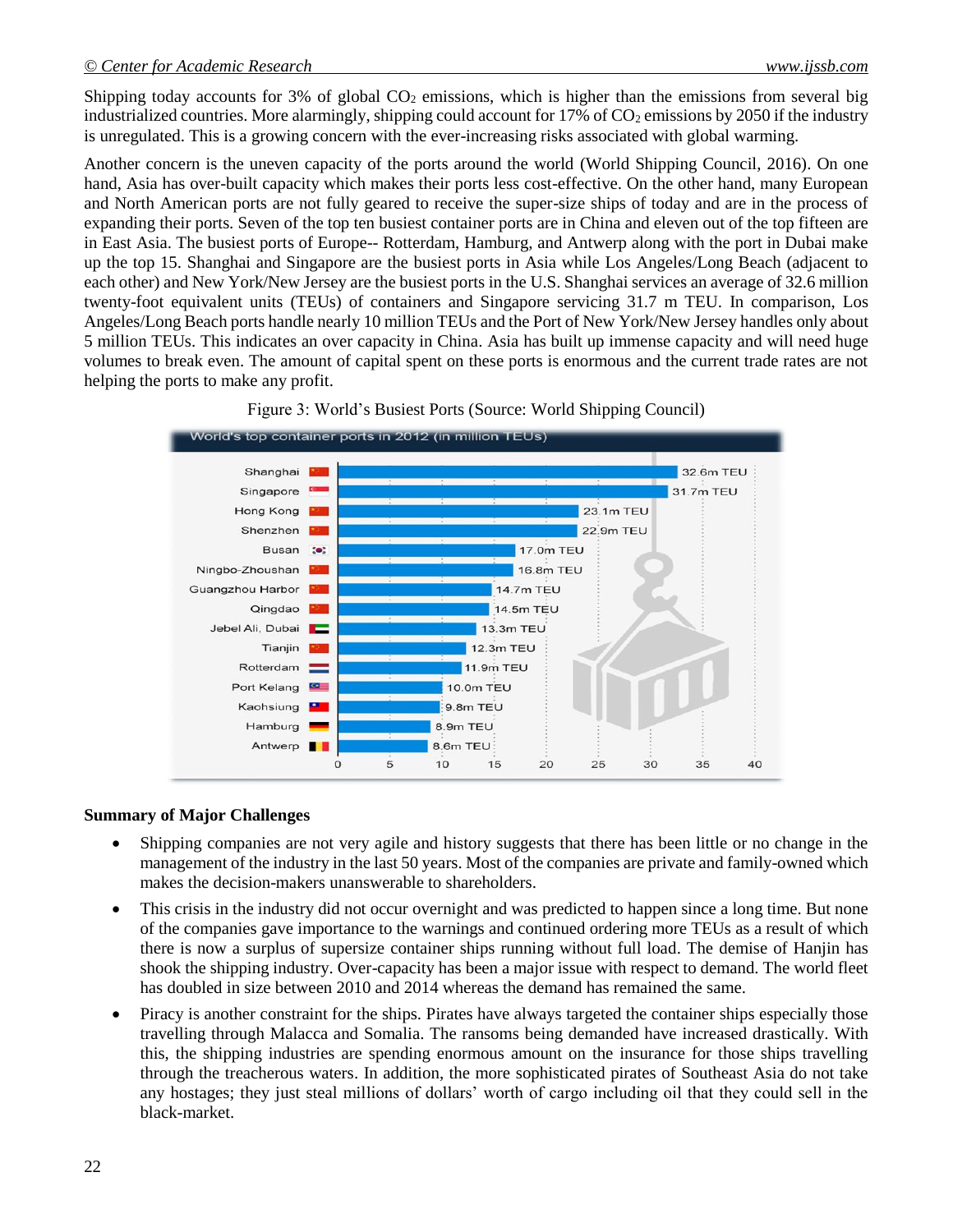Shipping today accounts for 3% of global  $CO<sub>2</sub>$  emissions, which is higher than the emissions from several big industrialized countries. More alarmingly, shipping could account for  $17\%$  of  $CO<sub>2</sub>$  emissions by 2050 if the industry is unregulated. This is a growing concern with the ever-increasing risks associated with global warming.

Another concern is the uneven capacity of the ports around the world (World Shipping Council, 2016). On one hand, Asia has over-built capacity which makes their ports less cost-effective. On the other hand, many European and North American ports are not fully geared to receive the super-size ships of today and are in the process of expanding their ports. Seven of the top ten busiest container ports are in China and eleven out of the top fifteen are in East Asia. The busiest ports of Europe-- Rotterdam, Hamburg, and Antwerp along with the port in Dubai make up the top 15. Shanghai and Singapore are the busiest ports in Asia while Los Angeles/Long Beach (adjacent to each other) and New York/New Jersey are the busiest ports in the U.S. Shanghai services an average of 32.6 million twenty-foot equivalent units (TEUs) of containers and Singapore servicing 31.7 m TEU. In comparison, Los Angeles/Long Beach ports handle nearly 10 million TEUs and the Port of New York/New Jersey handles only about 5 million TEUs. This indicates an over capacity in China. Asia has built up immense capacity and will need huge volumes to break even. The amount of capital spent on these ports is enormous and the current trade rates are not helping the ports to make any profit.



Figure 3: World's Busiest Ports (Source: World Shipping Council)

#### **Summary of Major Challenges**

- Shipping companies are not very agile and history suggests that there has been little or no change in the management of the industry in the last 50 years. Most of the companies are private and family-owned which makes the decision-makers unanswerable to shareholders.
- This crisis in the industry did not occur overnight and was predicted to happen since a long time. But none of the companies gave importance to the warnings and continued ordering more TEUs as a result of which there is now a surplus of supersize container ships running without full load. The demise of Hanjin has shook the shipping industry. Over-capacity has been a major issue with respect to demand. The world fleet has doubled in size between 2010 and 2014 whereas the demand has remained the same.
- Piracy is another constraint for the ships. Pirates have always targeted the container ships especially those travelling through Malacca and Somalia. The ransoms being demanded have increased drastically. With this, the shipping industries are spending enormous amount on the insurance for those ships travelling through the treacherous waters. In addition, the more sophisticated pirates of Southeast Asia do not take any hostages; they just steal millions of dollars' worth of cargo including oil that they could sell in the black-market.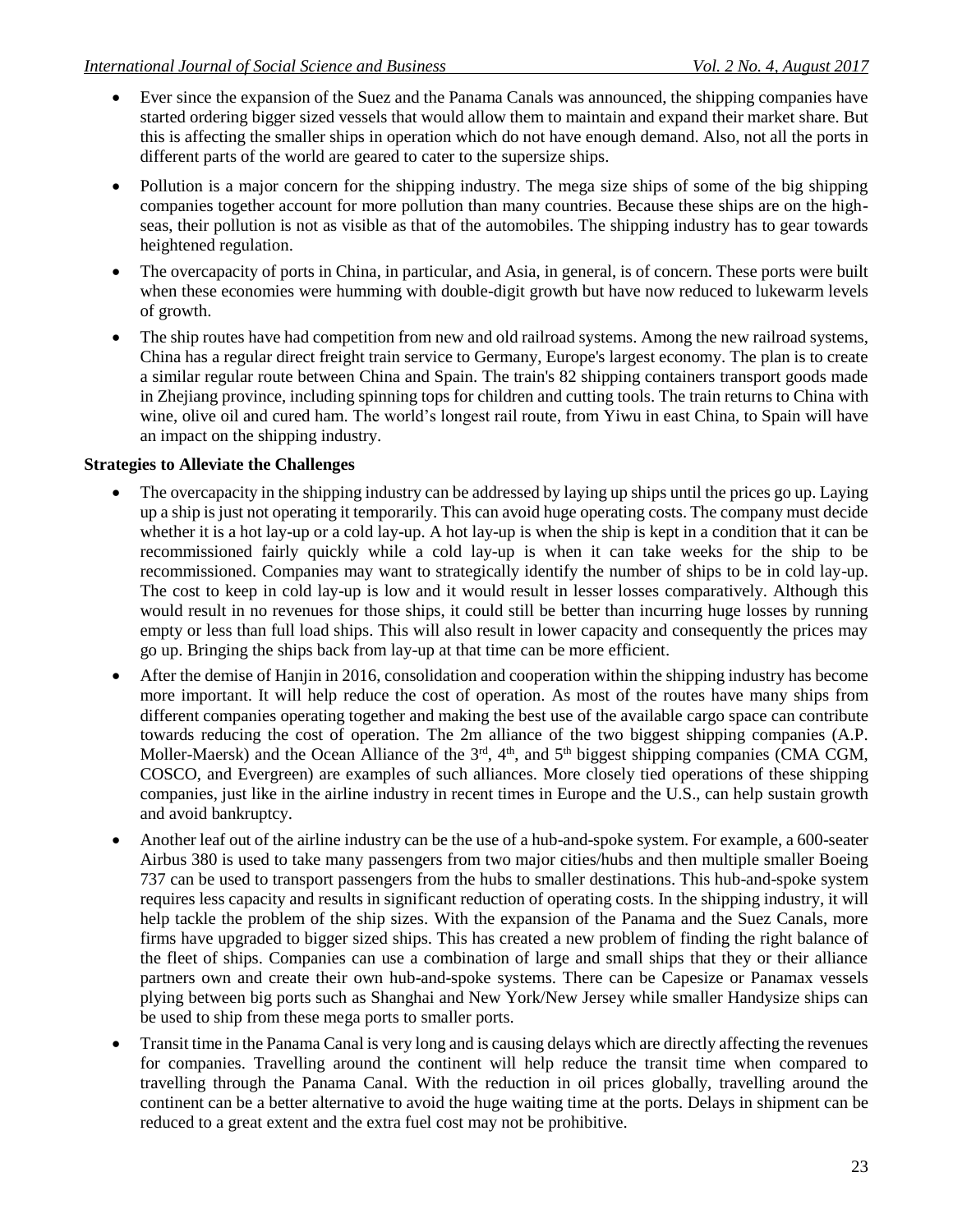- Ever since the expansion of the Suez and the Panama Canals was announced, the shipping companies have started ordering bigger sized vessels that would allow them to maintain and expand their market share. But this is affecting the smaller ships in operation which do not have enough demand. Also, not all the ports in different parts of the world are geared to cater to the supersize ships.
- Pollution is a major concern for the shipping industry. The mega size ships of some of the big shipping companies together account for more pollution than many countries. Because these ships are on the highseas, their pollution is not as visible as that of the automobiles. The shipping industry has to gear towards heightened regulation.
- The overcapacity of ports in China, in particular, and Asia, in general, is of concern. These ports were built when these economies were humming with double-digit growth but have now reduced to lukewarm levels of growth.
- The ship routes have had competition from new and old railroad systems. Among the new railroad systems, China has a regular direct freight train service to Germany, Europe's largest economy. The plan is to create a similar regular route between China and Spain. The train's 82 shipping containers transport goods made in Zhejiang province, including spinning tops for children and cutting tools. The train returns to China with wine, olive oil and cured ham. The world's longest rail route, from Yiwu in east China, to Spain will have an impact on the shipping industry.

# **Strategies to Alleviate the Challenges**

- The overcapacity in the shipping industry can be addressed by laying up ships until the prices go up. Laying up a ship is just not operating it temporarily. This can avoid huge operating costs. The company must decide whether it is a hot lay-up or a cold lay-up. A hot lay-up is when the ship is kept in a condition that it can be recommissioned fairly quickly while a cold lay-up is when it can take weeks for the ship to be recommissioned. Companies may want to strategically identify the number of ships to be in cold lay-up. The cost to keep in cold lay-up is low and it would result in lesser losses comparatively. Although this would result in no revenues for those ships, it could still be better than incurring huge losses by running empty or less than full load ships. This will also result in lower capacity and consequently the prices may go up. Bringing the ships back from lay-up at that time can be more efficient.
- After the demise of Hanjin in 2016, consolidation and cooperation within the shipping industry has become more important. It will help reduce the cost of operation. As most of the routes have many ships from different companies operating together and making the best use of the available cargo space can contribute towards reducing the cost of operation. The 2m alliance of the two biggest shipping companies (A.P. Moller-Maersk) and the Ocean Alliance of the  $3<sup>rd</sup>$ ,  $4<sup>th</sup>$ , and  $5<sup>th</sup>$  biggest shipping companies (CMA CGM, COSCO, and Evergreen) are examples of such alliances. More closely tied operations of these shipping companies, just like in the airline industry in recent times in Europe and the U.S., can help sustain growth and avoid bankruptcy.
- Another leaf out of the airline industry can be the use of a hub-and-spoke system. For example, a 600-seater Airbus 380 is used to take many passengers from two major cities/hubs and then multiple smaller Boeing 737 can be used to transport passengers from the hubs to smaller destinations. This hub-and-spoke system requires less capacity and results in significant reduction of operating costs. In the shipping industry, it will help tackle the problem of the ship sizes. With the expansion of the Panama and the Suez Canals, more firms have upgraded to bigger sized ships. This has created a new problem of finding the right balance of the fleet of ships. Companies can use a combination of large and small ships that they or their alliance partners own and create their own hub-and-spoke systems. There can be Capesize or Panamax vessels plying between big ports such as Shanghai and New York/New Jersey while smaller Handysize ships can be used to ship from these mega ports to smaller ports.
- Transit time in the Panama Canal is very long and is causing delays which are directly affecting the revenues for companies. Travelling around the continent will help reduce the transit time when compared to travelling through the Panama Canal. With the reduction in oil prices globally, travelling around the continent can be a better alternative to avoid the huge waiting time at the ports. Delays in shipment can be reduced to a great extent and the extra fuel cost may not be prohibitive.